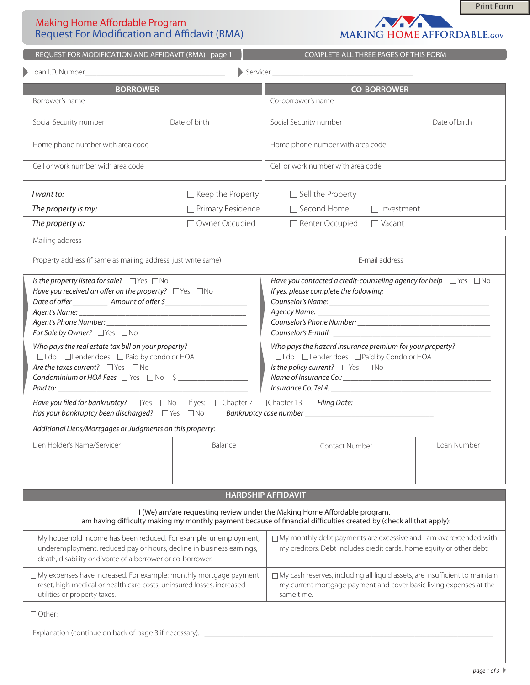# Making Home Affordable Program Request For Modification and Affidavit (RMA)



Print Form

| REQUEST FOR MODIFICATION AND AFFIDAVIT (RMA) page 1                                                                                                                                                                                                                                                                                                                                                                                               |                          | COMPLETE ALL THREE PAGES OF THIS FORM                                                                                                                                                              |               |  |
|---------------------------------------------------------------------------------------------------------------------------------------------------------------------------------------------------------------------------------------------------------------------------------------------------------------------------------------------------------------------------------------------------------------------------------------------------|--------------------------|----------------------------------------------------------------------------------------------------------------------------------------------------------------------------------------------------|---------------|--|
|                                                                                                                                                                                                                                                                                                                                                                                                                                                   |                          |                                                                                                                                                                                                    |               |  |
| <b>BORROWER</b>                                                                                                                                                                                                                                                                                                                                                                                                                                   |                          | <b>CO-BORROWER</b>                                                                                                                                                                                 |               |  |
| Borrower's name                                                                                                                                                                                                                                                                                                                                                                                                                                   |                          | Co-borrower's name                                                                                                                                                                                 |               |  |
| Social Security number                                                                                                                                                                                                                                                                                                                                                                                                                            | Date of birth            | Social Security number                                                                                                                                                                             | Date of birth |  |
| Home phone number with area code                                                                                                                                                                                                                                                                                                                                                                                                                  |                          | Home phone number with area code                                                                                                                                                                   |               |  |
| Cell or work number with area code                                                                                                                                                                                                                                                                                                                                                                                                                |                          | Cell or work number with area code                                                                                                                                                                 |               |  |
| I want to:                                                                                                                                                                                                                                                                                                                                                                                                                                        | $\Box$ Keep the Property | $\Box$ Sell the Property                                                                                                                                                                           |               |  |
| The property is my:                                                                                                                                                                                                                                                                                                                                                                                                                               | Primary Residence        | $\Box$ Second Home<br>$\Box$ Investment                                                                                                                                                            |               |  |
| The property is:                                                                                                                                                                                                                                                                                                                                                                                                                                  | Owner Occupied           | Renter Occupied<br>$\Box$ Vacant                                                                                                                                                                   |               |  |
| Mailing address                                                                                                                                                                                                                                                                                                                                                                                                                                   |                          |                                                                                                                                                                                                    |               |  |
| Property address (if same as mailing address, just write same)                                                                                                                                                                                                                                                                                                                                                                                    |                          | E-mail address                                                                                                                                                                                     |               |  |
| Is the property listed for sale? $\Box$ Yes $\Box$ No<br>Have you received an offer on the property? $\Box$ Yes $\Box$ No<br>Date of offer _______________ Amount of offer \$_________________________________<br>For Sale by Owner? PYes No                                                                                                                                                                                                      |                          | Have you contacted a credit-counseling agency for help $\Box$ Yes $\Box$ No<br>If yes, please complete the following:                                                                              |               |  |
| Who pays the real estate tax bill on your property?<br>$\Box$ I do $\Box$ Lender does $\Box$ Paid by condo or HOA<br>Are the taxes current? $\Box$ Yes $\Box$ No<br>Condominium or HOA Fees □ Yes □ No \$<br>Paid to: <u>Andrea Community of the Community of the Community of the Community of the Community of the Community of the Community of the Community of the Community of the Community of the Community of the Community of the C</u> |                          | Who pays the hazard insurance premium for your property?<br>□I do □Lender does □Paid by Condo or HOA<br>Is the policy current? PYes No                                                             |               |  |
| Has your bankruptcy been discharged? □ Yes □ No                                                                                                                                                                                                                                                                                                                                                                                                   |                          | Have you filed for bankruptcy? □ Yes □ No If yes: □ Chapter 7 □ Chapter 13 Filing Date: _____________________________                                                                              |               |  |
| Additional Liens/Mortgages or Judgments on this property:                                                                                                                                                                                                                                                                                                                                                                                         |                          |                                                                                                                                                                                                    |               |  |
| Lien Holder's Name/Servicer                                                                                                                                                                                                                                                                                                                                                                                                                       | Balance                  | Contact Number                                                                                                                                                                                     | Loan Number   |  |
|                                                                                                                                                                                                                                                                                                                                                                                                                                                   |                          |                                                                                                                                                                                                    |               |  |
|                                                                                                                                                                                                                                                                                                                                                                                                                                                   |                          | <b>HARDSHIP AFFIDAVIT</b>                                                                                                                                                                          |               |  |
|                                                                                                                                                                                                                                                                                                                                                                                                                                                   |                          | I (We) am/are requesting review under the Making Home Affordable program.<br>I am having difficulty making my monthly payment because of financial difficulties created by (check all that apply): |               |  |
| $\Box$ My household income has been reduced. For example: unemployment,<br>underemployment, reduced pay or hours, decline in business earnings,<br>death, disability or divorce of a borrower or co-borrower.                                                                                                                                                                                                                                     |                          | □ My monthly debt payments are excessive and I am overextended with<br>my creditors. Debt includes credit cards, home equity or other debt.                                                        |               |  |
| □ My expenses have increased. For example: monthly mortgage payment<br>reset, high medical or health care costs, uninsured losses, increased<br>utilities or property taxes.                                                                                                                                                                                                                                                                      |                          | $\Box$ My cash reserves, including all liquid assets, are insufficient to maintain<br>my current mortgage payment and cover basic living expenses at the<br>same time.                             |               |  |
| $\Box$ Other:                                                                                                                                                                                                                                                                                                                                                                                                                                     |                          |                                                                                                                                                                                                    |               |  |
| Explanation (continue on back of page 3 if necessary): _                                                                                                                                                                                                                                                                                                                                                                                          |                          |                                                                                                                                                                                                    |               |  |
|                                                                                                                                                                                                                                                                                                                                                                                                                                                   |                          |                                                                                                                                                                                                    |               |  |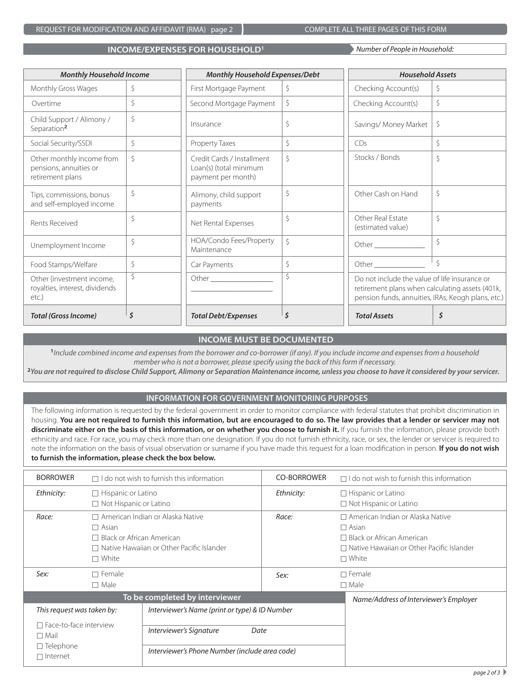REQUEST FOR MODIFICATION AND AFFIDAVIT (RMA) page 2 COMPLETE ALL THREE PAGES OF THIS FORM

#### **INCOME/EXPENSES FOR HOUSEHOLD<sup>1</sup>**

*Number of People in Household:* 

| <b>Monthly Household Income</b>                                         |    | <b>Monthly Household Expenses/Debt</b>                                     |         | <b>Household Assets</b>                                                                                                                                |         |
|-------------------------------------------------------------------------|----|----------------------------------------------------------------------------|---------|--------------------------------------------------------------------------------------------------------------------------------------------------------|---------|
| Monthly Gross Wages                                                     | Ŝ. | First Mortgage Payment                                                     | Ŝ.      | Checking Account(s)                                                                                                                                    | Ŝ.      |
| Overtime                                                                | \$ | Second Mortgage Payment                                                    | \$      | Checking Account(s)                                                                                                                                    | \$      |
| Child Support / Alimony /<br>Separation <sup>2</sup>                    | \$ | Insurance                                                                  | Ŝ       | Savings/ Money Market                                                                                                                                  | \$      |
| Social Security/SSDI                                                    | \$ | Property Taxes                                                             | Ŝ.      | CDs                                                                                                                                                    | \$      |
| Other monthly income from<br>pensions, annuities or<br>retirement plans | Ŝ. | Credit Cards / Installment<br>Loan(s) (total minimum<br>payment per month) | Ŝ.      | Stocks / Bonds                                                                                                                                         | \$      |
| Tips, commissions, bonus<br>and self-employed income                    | \$ | Alimony, child support<br>payments                                         | Ŝ.      | Other Cash on Hand                                                                                                                                     | \$      |
| Rents Received                                                          | \$ | Net Rental Expenses                                                        | Ŝ       | Other Real Estate<br>(estimated value)                                                                                                                 | Ś       |
| Unemployment Income                                                     | \$ | HOA/Condo Fees/Property<br>Maintenance                                     | $\zeta$ |                                                                                                                                                        | \$      |
| Food Stamps/Welfare                                                     | \$ | Car Payments                                                               | \$      |                                                                                                                                                        | $\zeta$ |
| Other (investment income,<br>royalties, interest, dividends<br>etc.)    | \$ |                                                                            | Ŝ       | Do not include the value of life insurance or<br>retirement plans when calculating assets (401k,<br>pension funds, annuities, IRAs, Keogh plans, etc.) |         |
| <b>Total (Gross Income)</b>                                             |    | <b>Total Debt/Expenses</b>                                                 |         | <b>Total Assets</b>                                                                                                                                    | \$      |

## **INCOME MUST BE DOCUMENTED**

**1** *Include combined income and expenses from the borrower and co-borrower (if any). If you include income and expenses from a household member who is not a borrower, please specify using the back of this form if necessary.*

**<sup>2</sup>You are not required to disclose Child Support, Alimony or Separation Maintenance income, unless you choose to have it considered by your servicer.** 

#### **INFORMATION FOR GOVERNMENT MONITORING PURPOSES**

The following information is requested by the federal government in order to monitor compliance with federal statutes that prohibit discrimination in housing. **You are not required to furnish this information, but are encouraged to do so. The law provides that a lender or servicer may not**  discriminate either on the basis of this information, or on whether you choose to furnish it. If you furnish the information, please provide both ethnicity and race. For race, you may check more than one designation. If you do not furnish ethnicity, race, or sex, the lender or servicer is required to note the information on the basis of visual observation or surname if you have made this request for a loan modification in person. **If you do not wish to furnish the information, please check the box below.** 

| <b>BORROWER</b>                                                                          | $\Box$ I do not wish to furnish this information |                                                | <b>CO-BORROWER</b> | $\Box$ I do not wish to furnish this information |  |
|------------------------------------------------------------------------------------------|--------------------------------------------------|------------------------------------------------|--------------------|--------------------------------------------------|--|
| Ethnicity:                                                                               | $\Box$ Hispanic or Latino                        |                                                | Ethnicity:         | $\Box$ Hispanic or Latino                        |  |
|                                                                                          | $\Box$ Not Hispanic or Latino                    |                                                |                    | $\Box$ Not Hispanic or Latino                    |  |
| Race:                                                                                    | $\Box$ American Indian or Alaska Native          |                                                | Race:              | $\Box$ American Indian or Alaska Native          |  |
|                                                                                          | $\Box$ Asian                                     |                                                |                    | $\Box$ Asian                                     |  |
|                                                                                          | $\Box$ Black or African American                 |                                                |                    | $\Box$ Black or African American                 |  |
|                                                                                          | $\Box$ Native Hawaiian or Other Pacific Islander |                                                |                    | $\Box$ Native Hawaiian or Other Pacific Islander |  |
|                                                                                          | $\Box$ White                                     |                                                |                    | $\Box$ White                                     |  |
|                                                                                          |                                                  |                                                |                    |                                                  |  |
| Sex:                                                                                     | $\Box$ Female                                    |                                                | Sex:               | $\Box$ Female                                    |  |
| $\Box$ Male                                                                              |                                                  |                                                | $\Box$ Male        |                                                  |  |
|                                                                                          |                                                  | To be completed by interviewer                 |                    | Name/Address of Interviewer's Employer           |  |
| This request was taken by:                                                               |                                                  | Interviewer's Name (print or type) & ID Number |                    |                                                  |  |
| $\sqsupset$ Face-to-face interview<br>$\Box$ Mail<br>$\Box$ Telephone<br>$\Box$ Internet |                                                  | Interviewer's Signature<br>Date                |                    |                                                  |  |
|                                                                                          |                                                  |                                                |                    |                                                  |  |
|                                                                                          |                                                  | Interviewer's Phone Number (include area code) |                    |                                                  |  |
|                                                                                          |                                                  |                                                |                    |                                                  |  |